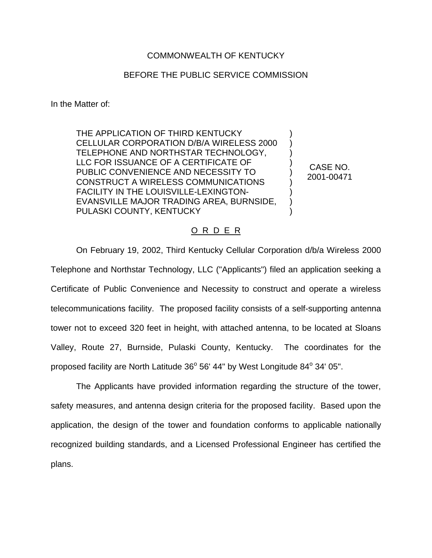## COMMONWEALTH OF KENTUCKY

## BEFORE THE PUBLIC SERVICE COMMISSION

In the Matter of:

THE APPLICATION OF THIRD KENTUCKY CELLULAR CORPORATION D/B/A WIRELESS 2000 TELEPHONE AND NORTHSTAR TECHNOLOGY, LLC FOR ISSUANCE OF A CERTIFICATE OF PUBLIC CONVENIENCE AND NECESSITY TO CONSTRUCT A WIRELESS COMMUNICATIONS FACILITY IN THE LOUISVILLE-LEXINGTON-EVANSVILLE MAJOR TRADING AREA, BURNSIDE, PULASKI COUNTY, KENTUCKY

CASE NO. 2001-00471

) ) ) ) ) ) ) ) )

## O R D E R

On February 19, 2002, Third Kentucky Cellular Corporation d/b/a Wireless 2000 Telephone and Northstar Technology, LLC ("Applicants") filed an application seeking a Certificate of Public Convenience and Necessity to construct and operate a wireless telecommunications facility. The proposed facility consists of a self-supporting antenna tower not to exceed 320 feet in height, with attached antenna, to be located at Sloans Valley, Route 27, Burnside, Pulaski County, Kentucky. The coordinates for the proposed facility are North Latitude  $36^{\circ}$  56' 44" by West Longitude  $84^{\circ}$  34' 05".

The Applicants have provided information regarding the structure of the tower, safety measures, and antenna design criteria for the proposed facility. Based upon the application, the design of the tower and foundation conforms to applicable nationally recognized building standards, and a Licensed Professional Engineer has certified the plans.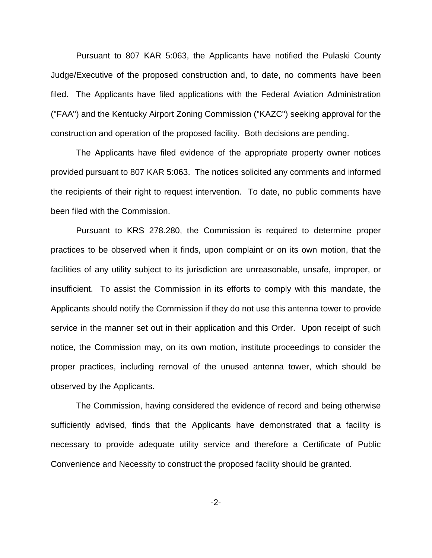Pursuant to 807 KAR 5:063, the Applicants have notified the Pulaski County Judge/Executive of the proposed construction and, to date, no comments have been filed. The Applicants have filed applications with the Federal Aviation Administration ("FAA") and the Kentucky Airport Zoning Commission ("KAZC") seeking approval for the construction and operation of the proposed facility. Both decisions are pending.

The Applicants have filed evidence of the appropriate property owner notices provided pursuant to 807 KAR 5:063. The notices solicited any comments and informed the recipients of their right to request intervention. To date, no public comments have been filed with the Commission.

Pursuant to KRS 278.280, the Commission is required to determine proper practices to be observed when it finds, upon complaint or on its own motion, that the facilities of any utility subject to its jurisdiction are unreasonable, unsafe, improper, or insufficient. To assist the Commission in its efforts to comply with this mandate, the Applicants should notify the Commission if they do not use this antenna tower to provide service in the manner set out in their application and this Order. Upon receipt of such notice, the Commission may, on its own motion, institute proceedings to consider the proper practices, including removal of the unused antenna tower, which should be observed by the Applicants.

The Commission, having considered the evidence of record and being otherwise sufficiently advised, finds that the Applicants have demonstrated that a facility is necessary to provide adequate utility service and therefore a Certificate of Public Convenience and Necessity to construct the proposed facility should be granted.

-2-